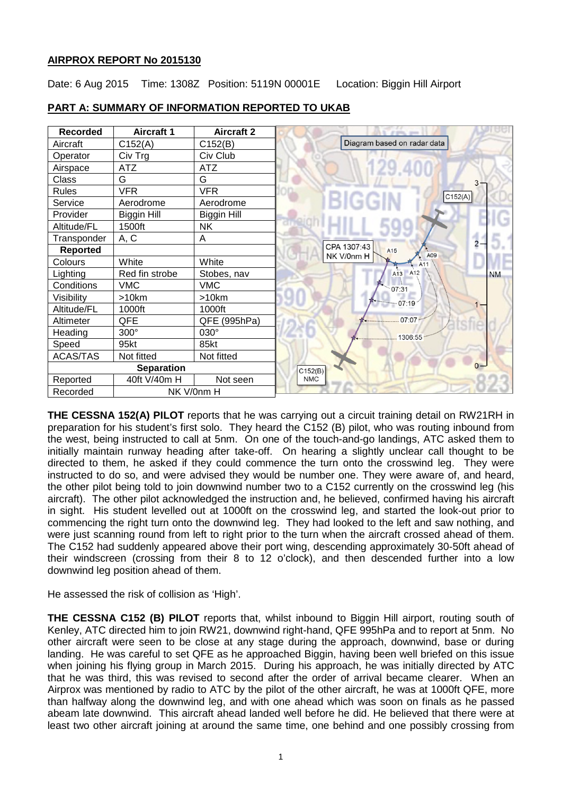## **AIRPROX REPORT No 2015130**

Date: 6 Aug 2015 Time: 1308Z Position: 5119N 00001E Location: Biggin Hill Airport



# **PART A: SUMMARY OF INFORMATION REPORTED TO UKAB**

**THE CESSNA 152(A) PILOT** reports that he was carrying out a circuit training detail on RW21RH in preparation for his student's first solo. They heard the C152 (B) pilot, who was routing inbound from the west, being instructed to call at 5nm. On one of the touch-and-go landings, ATC asked them to initially maintain runway heading after take-off. On hearing a slightly unclear call thought to be directed to them, he asked if they could commence the turn onto the crosswind leg. They were instructed to do so, and were advised they would be number one. They were aware of, and heard, the other pilot being told to join downwind number two to a C152 currently on the crosswind leg (his aircraft). The other pilot acknowledged the instruction and, he believed, confirmed having his aircraft in sight. His student levelled out at 1000ft on the crosswind leg, and started the look-out prior to commencing the right turn onto the downwind leg. They had looked to the left and saw nothing, and were just scanning round from left to right prior to the turn when the aircraft crossed ahead of them. The C152 had suddenly appeared above their port wing, descending approximately 30-50ft ahead of their windscreen (crossing from their 8 to 12 o'clock), and then descended further into a low downwind leg position ahead of them.

He assessed the risk of collision as 'High'.

**THE CESSNA C152 (B) PILOT** reports that, whilst inbound to Biggin Hill airport, routing south of Kenley, ATC directed him to join RW21, downwind right-hand, QFE 995hPa and to report at 5nm. No other aircraft were seen to be close at any stage during the approach, downwind, base or during landing. He was careful to set QFE as he approached Biggin, having been well briefed on this issue when joining his flying group in March 2015. During his approach, he was initially directed by ATC that he was third, this was revised to second after the order of arrival became clearer. When an Airprox was mentioned by radio to ATC by the pilot of the other aircraft, he was at 1000ft QFE, more than halfway along the downwind leg, and with one ahead which was soon on finals as he passed abeam late downwind. This aircraft ahead landed well before he did. He believed that there were at least two other aircraft joining at around the same time, one behind and one possibly crossing from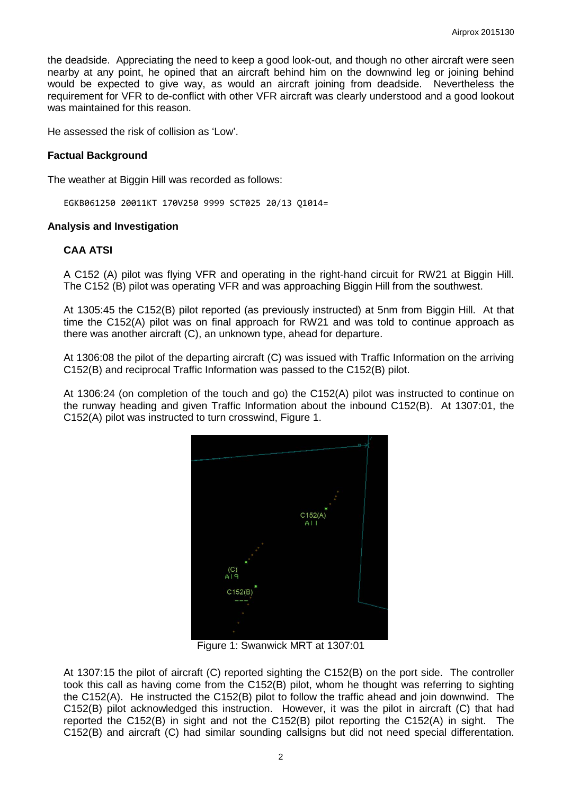the deadside. Appreciating the need to keep a good look-out, and though no other aircraft were seen nearby at any point, he opined that an aircraft behind him on the downwind leg or joining behind would be expected to give way, as would an aircraft joining from deadside. Nevertheless the requirement for VFR to de-conflict with other VFR aircraft was clearly understood and a good lookout was maintained for this reason.

He assessed the risk of collision as 'Low'.

#### **Factual Background**

The weather at Biggin Hill was recorded as follows:

EGKB061250 20011KT 170V250 9999 SCT025 20/13 Q1014=

#### **Analysis and Investigation**

### **CAA ATSI**

A C152 (A) pilot was flying VFR and operating in the right-hand circuit for RW21 at Biggin Hill. The C152 (B) pilot was operating VFR and was approaching Biggin Hill from the southwest.

At 1305:45 the C152(B) pilot reported (as previously instructed) at 5nm from Biggin Hill. At that time the C152(A) pilot was on final approach for RW21 and was told to continue approach as there was another aircraft (C), an unknown type, ahead for departure.

At 1306:08 the pilot of the departing aircraft (C) was issued with Traffic Information on the arriving C152(B) and reciprocal Traffic Information was passed to the C152(B) pilot.

At 1306:24 (on completion of the touch and go) the C152(A) pilot was instructed to continue on the runway heading and given Traffic Information about the inbound C152(B). At 1307:01, the C152(A) pilot was instructed to turn crosswind, Figure 1.



Figure 1: Swanwick MRT at 1307:01

At 1307:15 the pilot of aircraft (C) reported sighting the C152(B) on the port side. The controller took this call as having come from the C152(B) pilot, whom he thought was referring to sighting the C152(A). He instructed the C152(B) pilot to follow the traffic ahead and join downwind. The C152(B) pilot acknowledged this instruction. However, it was the pilot in aircraft (C) that had reported the C152(B) in sight and not the C152(B) pilot reporting the C152(A) in sight. The C152(B) and aircraft (C) had similar sounding callsigns but did not need special differentation.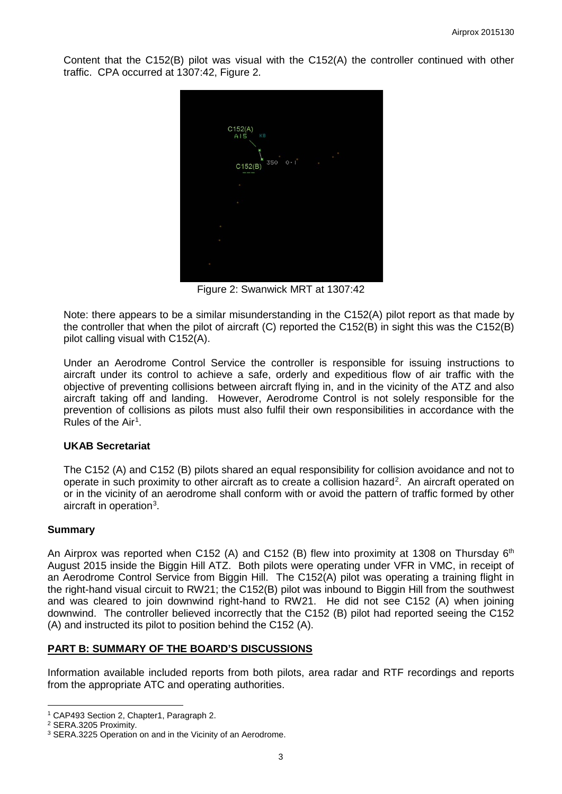Content that the C152(B) pilot was visual with the C152(A) the controller continued with other traffic. CPA occurred at 1307:42, Figure 2.



Figure 2: Swanwick MRT at 1307:42

Note: there appears to be a similar misunderstanding in the C152(A) pilot report as that made by the controller that when the pilot of aircraft (C) reported the C152(B) in sight this was the C152(B) pilot calling visual with C152(A).

Under an Aerodrome Control Service the controller is responsible for issuing instructions to aircraft under its control to achieve a safe, orderly and expeditious flow of air traffic with the objective of preventing collisions between aircraft flying in, and in the vicinity of the ATZ and also aircraft taking off and landing. However, Aerodrome Control is not solely responsible for the prevention of collisions as pilots must also fulfil their own responsibilities in accordance with the Rules of the  $Air<sup>1</sup>$  $Air<sup>1</sup>$  $Air<sup>1</sup>$ .

### **UKAB Secretariat**

The C152 (A) and C152 (B) pilots shared an equal responsibility for collision avoidance and not to operate in such proximity to other aircraft as to create a collision hazard<sup>[2](#page-2-1)</sup>. An aircraft operated on or in the vicinity of an aerodrome shall conform with or avoid the pattern of traffic formed by other aircraft in operation<sup>[3](#page-2-2)</sup>.

#### **Summary**

An Airprox was reported when C152 (A) and C152 (B) flew into proximity at 1308 on Thursday  $6<sup>th</sup>$ August 2015 inside the Biggin Hill ATZ. Both pilots were operating under VFR in VMC, in receipt of an Aerodrome Control Service from Biggin Hill. The C152(A) pilot was operating a training flight in the right-hand visual circuit to RW21; the C152(B) pilot was inbound to Biggin Hill from the southwest and was cleared to join downwind right-hand to RW21. He did not see C152 (A) when joining downwind. The controller believed incorrectly that the C152 (B) pilot had reported seeing the C152 (A) and instructed its pilot to position behind the C152 (A).

### **PART B: SUMMARY OF THE BOARD'S DISCUSSIONS**

Information available included reports from both pilots, area radar and RTF recordings and reports from the appropriate ATC and operating authorities.

 $\overline{\phantom{a}}$ 

<span id="page-2-0"></span><sup>1</sup> CAP493 Section 2, Chapter1, Paragraph 2.

<span id="page-2-1"></span><sup>2</sup> SERA.3205 Proximity.

<span id="page-2-2"></span><sup>&</sup>lt;sup>3</sup> SERA.3225 Operation on and in the Vicinity of an Aerodrome.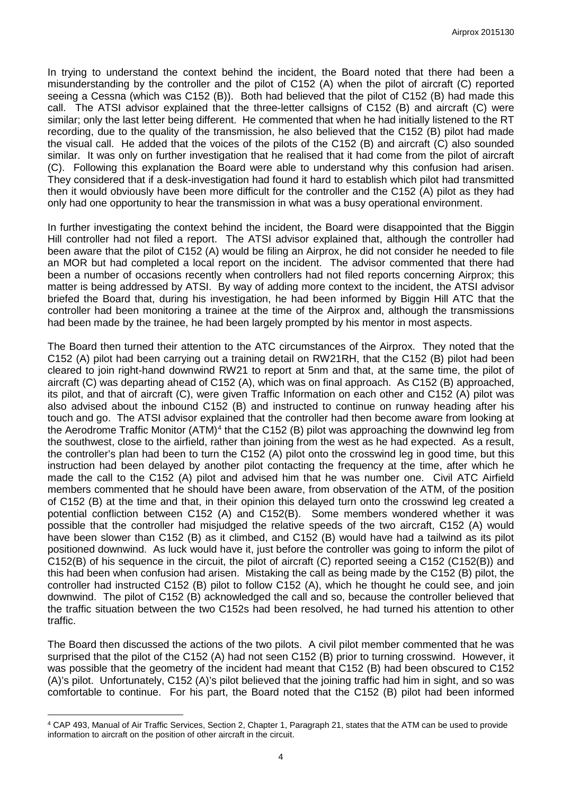In trying to understand the context behind the incident, the Board noted that there had been a misunderstanding by the controller and the pilot of C152 (A) when the pilot of aircraft (C) reported seeing a Cessna (which was C152 (B)). Both had believed that the pilot of C152 (B) had made this call. The ATSI advisor explained that the three-letter callsigns of C152 (B) and aircraft (C) were similar; only the last letter being different. He commented that when he had initially listened to the RT recording, due to the quality of the transmission, he also believed that the C152 (B) pilot had made the visual call. He added that the voices of the pilots of the C152 (B) and aircraft (C) also sounded similar. It was only on further investigation that he realised that it had come from the pilot of aircraft (C). Following this explanation the Board were able to understand why this confusion had arisen. They considered that if a desk-investigation had found it hard to establish which pilot had transmitted then it would obviously have been more difficult for the controller and the C152 (A) pilot as they had only had one opportunity to hear the transmission in what was a busy operational environment.

In further investigating the context behind the incident, the Board were disappointed that the Biggin Hill controller had not filed a report. The ATSI advisor explained that, although the controller had been aware that the pilot of C152 (A) would be filing an Airprox, he did not consider he needed to file an MOR but had completed a local report on the incident. The advisor commented that there had been a number of occasions recently when controllers had not filed reports concerning Airprox; this matter is being addressed by ATSI. By way of adding more context to the incident, the ATSI advisor briefed the Board that, during his investigation, he had been informed by Biggin Hill ATC that the controller had been monitoring a trainee at the time of the Airprox and, although the transmissions had been made by the trainee, he had been largely prompted by his mentor in most aspects.

The Board then turned their attention to the ATC circumstances of the Airprox. They noted that the C152 (A) pilot had been carrying out a training detail on RW21RH, that the C152 (B) pilot had been cleared to join right-hand downwind RW21 to report at 5nm and that, at the same time, the pilot of aircraft (C) was departing ahead of C152 (A), which was on final approach. As C152 (B) approached, its pilot, and that of aircraft (C), were given Traffic Information on each other and C152 (A) pilot was also advised about the inbound C152 (B) and instructed to continue on runway heading after his touch and go. The ATSI advisor explained that the controller had then become aware from looking at the Aerodrome Traffic Monitor (ATM)<sup>[4](#page-3-0)</sup> that the C152 (B) pilot was approaching the downwind leg from the southwest, close to the airfield, rather than joining from the west as he had expected. As a result, the controller's plan had been to turn the C152 (A) pilot onto the crosswind leg in good time, but this instruction had been delayed by another pilot contacting the frequency at the time, after which he made the call to the C152 (A) pilot and advised him that he was number one. Civil ATC Airfield members commented that he should have been aware, from observation of the ATM, of the position of C152 (B) at the time and that, in their opinion this delayed turn onto the crosswind leg created a potential confliction between C152 (A) and C152(B). Some members wondered whether it was possible that the controller had misjudged the relative speeds of the two aircraft, C152 (A) would have been slower than C152 (B) as it climbed, and C152 (B) would have had a tailwind as its pilot positioned downwind. As luck would have it, just before the controller was going to inform the pilot of C152(B) of his sequence in the circuit, the pilot of aircraft (C) reported seeing a C152 (C152(B)) and this had been when confusion had arisen. Mistaking the call as being made by the C152 (B) pilot, the controller had instructed C152 (B) pilot to follow C152 (A), which he thought he could see, and join downwind. The pilot of C152 (B) acknowledged the call and so, because the controller believed that the traffic situation between the two C152s had been resolved, he had turned his attention to other traffic.

The Board then discussed the actions of the two pilots. A civil pilot member commented that he was surprised that the pilot of the C152 (A) had not seen C152 (B) prior to turning crosswind. However, it was possible that the geometry of the incident had meant that C152 (B) had been obscured to C152 (A)'s pilot. Unfortunately, C152 (A)'s pilot believed that the joining traffic had him in sight, and so was comfortable to continue. For his part, the Board noted that the C152 (B) pilot had been informed

l

<span id="page-3-0"></span><sup>4</sup> CAP 493, Manual of Air Traffic Services, Section 2, Chapter 1, Paragraph 21, states that the ATM can be used to provide information to aircraft on the position of other aircraft in the circuit.